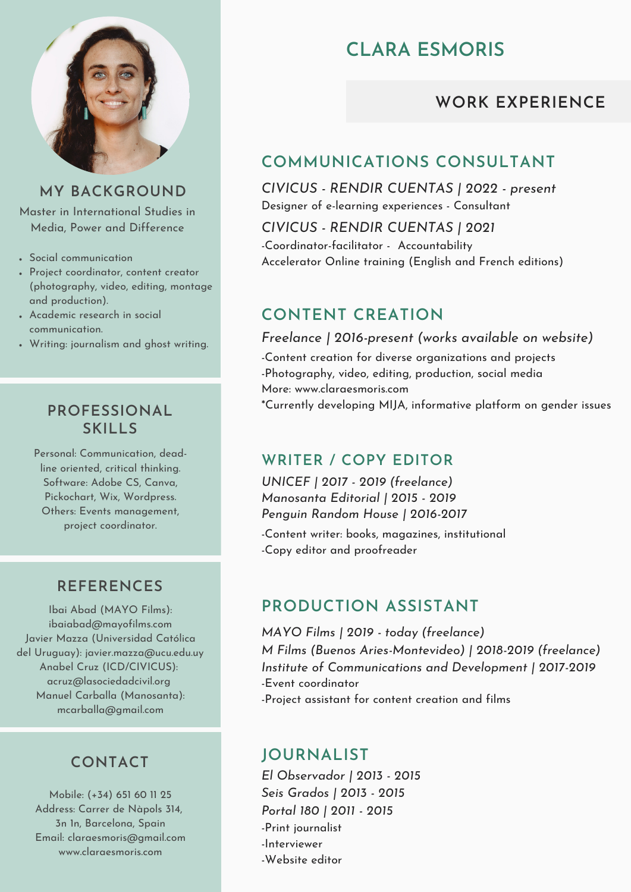

#### **MY BACKGROUND**

Master in International Studies in Media, Power and Difference

- Social communication
- Project coordinator, content creator (photography, video, editing, montage and production).
- Academic research in social communication.
- Writing: journalism and ghost writing.

#### **PROFESSIONAL SKILLS**

Personal: Communication, deadline oriented, critical thinking. Software: Adobe CS, Canva, Pickochart, Wix, Wordpress. Others: Events management, project coordinator.

#### **REFERENCES**

Ibai Abad (MAYO Films): ibaiabad@mayofilms.com Javier Mazza (Universidad Católica del Uruguay): javier.mazza@ucu.edu.uy Anabel Cruz (ICD/CIVICUS): acruz@lasociedadcivil.org Manuel Carballa (Manosanta): mcarballa@gmail.com

# **CONTACT**

Mobile: (+34) 651 60 11 25 Address: Carrer de Nàpols 314, 3n 1n, Barcelona, Spain Email: claraesmoris@gmail.com www.claraesmoris.com

# **CLARA ESMORIS**

# **WORK EXPERIENCE**

# **COMMUNICATIONS CONSULTANT**

*CIVICUS - RENDIR CUENTAS | 2022 - present* Designer of e-learning experiences - Consultant

*CIVICUS - RENDIR CUENTAS | 2021* -Coordinator-facilitator - Accountability Accelerator Online training (English and French editions)

# **CONTENT CREATION**

-Content creation for diverse organizations and projects -Photography, video, editing, production, social media More: www.claraesmoris.com \*Currently developing MIJA, informative platform on gender issues *Freelance | 2016-present (works available on website)*

## **WRITER / COPY EDITOR**

*UNICEF | 2017 - 2019 (freelance) Manosanta Editorial | 2015 - 2019 Penguin Random House | 2016-2017*

-Content writer: books, magazines, institutional -Copy editor and proofreader

# **PRODUCTION ASSISTANT**

-Event coordinator -Project assistant for content creation and films *MAYO Films | 2019 - today (freelance) M Films (Buenos Aries-Montevideo) | 2018-2019 (freelance) Institute of Communications and Development | 2017-2019*

## **JOURNALIST**

-Print journalist -Interviewer -Website editor *El Observador | 2013 - 2015 Seis Grados | 2013 - 2015 Portal 180 | 2011 - 2015*